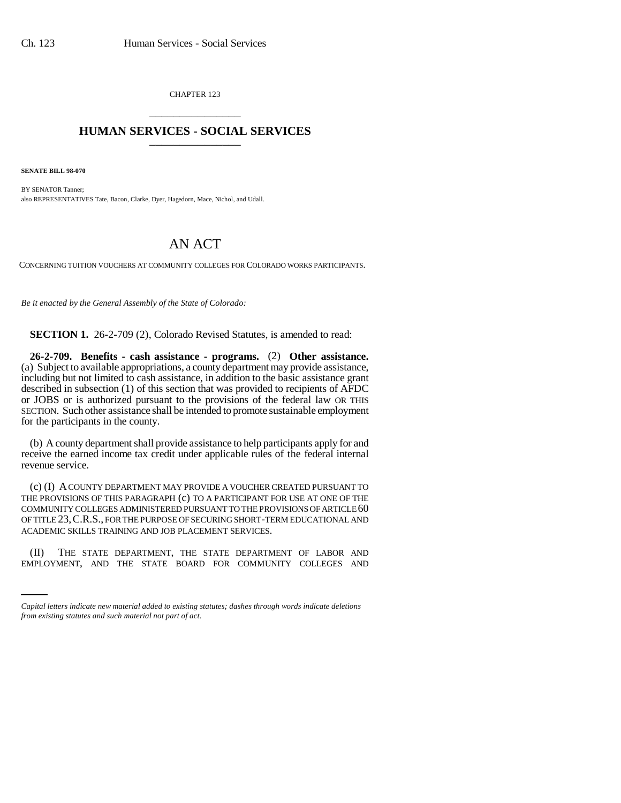CHAPTER 123 \_\_\_\_\_\_\_\_\_\_\_\_\_\_\_

## **HUMAN SERVICES - SOCIAL SERVICES** \_\_\_\_\_\_\_\_\_\_\_\_\_\_\_

**SENATE BILL 98-070**

BY SENATOR Tanner; also REPRESENTATIVES Tate, Bacon, Clarke, Dyer, Hagedorn, Mace, Nichol, and Udall.

## AN ACT

CONCERNING TUITION VOUCHERS AT COMMUNITY COLLEGES FOR COLORADO WORKS PARTICIPANTS.

*Be it enacted by the General Assembly of the State of Colorado:*

**SECTION 1.** 26-2-709 (2), Colorado Revised Statutes, is amended to read:

**26-2-709. Benefits - cash assistance - programs.** (2) **Other assistance.** (a) Subject to available appropriations, a county department may provide assistance, including but not limited to cash assistance, in addition to the basic assistance grant described in subsection (1) of this section that was provided to recipients of AFDC or JOBS or is authorized pursuant to the provisions of the federal law OR THIS SECTION. Such other assistance shall be intended to promote sustainable employment for the participants in the county.

(b) A county department shall provide assistance to help participants apply for and receive the earned income tax credit under applicable rules of the federal internal revenue service.

(c) (I) A COUNTY DEPARTMENT MAY PROVIDE A VOUCHER CREATED PURSUANT TO THE PROVISIONS OF THIS PARAGRAPH (c) TO A PARTICIPANT FOR USE AT ONE OF THE COMMUNITY COLLEGES ADMINISTERED PURSUANT TO THE PROVISIONS OF ARTICLE 60 OF TITLE 23,C.R.S., FOR THE PURPOSE OF SECURING SHORT-TERM EDUCATIONAL AND ACADEMIC SKILLS TRAINING AND JOB PLACEMENT SERVICES.

 (II) THE STATE DEPARTMENT, THE STATE DEPARTMENT OF LABOR AND EMPLOYMENT, AND THE STATE BOARD FOR COMMUNITY COLLEGES AND

*Capital letters indicate new material added to existing statutes; dashes through words indicate deletions from existing statutes and such material not part of act.*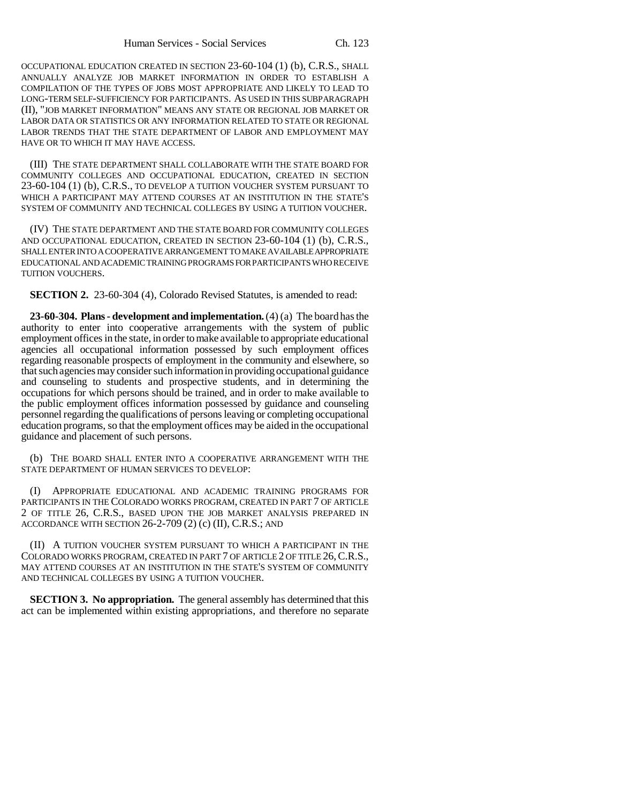OCCUPATIONAL EDUCATION CREATED IN SECTION 23-60-104 (1) (b), C.R.S., SHALL ANNUALLY ANALYZE JOB MARKET INFORMATION IN ORDER TO ESTABLISH A COMPILATION OF THE TYPES OF JOBS MOST APPROPRIATE AND LIKELY TO LEAD TO LONG-TERM SELF-SUFFICIENCY FOR PARTICIPANTS. AS USED IN THIS SUBPARAGRAPH (II), "JOB MARKET INFORMATION" MEANS ANY STATE OR REGIONAL JOB MARKET OR LABOR DATA OR STATISTICS OR ANY INFORMATION RELATED TO STATE OR REGIONAL LABOR TRENDS THAT THE STATE DEPARTMENT OF LABOR AND EMPLOYMENT MAY HAVE OR TO WHICH IT MAY HAVE ACCESS.

(III) THE STATE DEPARTMENT SHALL COLLABORATE WITH THE STATE BOARD FOR COMMUNITY COLLEGES AND OCCUPATIONAL EDUCATION, CREATED IN SECTION 23-60-104 (1) (b), C.R.S., TO DEVELOP A TUITION VOUCHER SYSTEM PURSUANT TO WHICH A PARTICIPANT MAY ATTEND COURSES AT AN INSTITUTION IN THE STATE'S SYSTEM OF COMMUNITY AND TECHNICAL COLLEGES BY USING A TUITION VOUCHER.

(IV) THE STATE DEPARTMENT AND THE STATE BOARD FOR COMMUNITY COLLEGES AND OCCUPATIONAL EDUCATION, CREATED IN SECTION 23-60-104 (1) (b), C.R.S., SHALL ENTER INTO A COOPERATIVE ARRANGEMENT TO MAKE AVAILABLE APPROPRIATE EDUCATIONAL AND ACADEMIC TRAINING PROGRAMS FOR PARTICIPANTS WHO RECEIVE TUITION VOUCHERS.

**SECTION 2.** 23-60-304 (4), Colorado Revised Statutes, is amended to read:

**23-60-304. Plans - development and implementation.** (4) (a) The board has the authority to enter into cooperative arrangements with the system of public employment offices in the state, in order to make available to appropriate educational agencies all occupational information possessed by such employment offices regarding reasonable prospects of employment in the community and elsewhere, so that such agencies may consider such information in providing occupational guidance and counseling to students and prospective students, and in determining the occupations for which persons should be trained, and in order to make available to the public employment offices information possessed by guidance and counseling personnel regarding the qualifications of persons leaving or completing occupational education programs, so that the employment offices may be aided in the occupational guidance and placement of such persons.

(b) THE BOARD SHALL ENTER INTO A COOPERATIVE ARRANGEMENT WITH THE STATE DEPARTMENT OF HUMAN SERVICES TO DEVELOP:

(I) APPROPRIATE EDUCATIONAL AND ACADEMIC TRAINING PROGRAMS FOR PARTICIPANTS IN THE COLORADO WORKS PROGRAM, CREATED IN PART 7 OF ARTICLE 2 OF TITLE 26, C.R.S., BASED UPON THE JOB MARKET ANALYSIS PREPARED IN ACCORDANCE WITH SECTION 26-2-709 (2) (c) (II), C.R.S.; AND

(II) A TUITION VOUCHER SYSTEM PURSUANT TO WHICH A PARTICIPANT IN THE COLORADO WORKS PROGRAM, CREATED IN PART 7 OF ARTICLE 2 OF TITLE 26,C.R.S., MAY ATTEND COURSES AT AN INSTITUTION IN THE STATE'S SYSTEM OF COMMUNITY AND TECHNICAL COLLEGES BY USING A TUITION VOUCHER.

**SECTION 3. No appropriation.** The general assembly has determined that this act can be implemented within existing appropriations, and therefore no separate